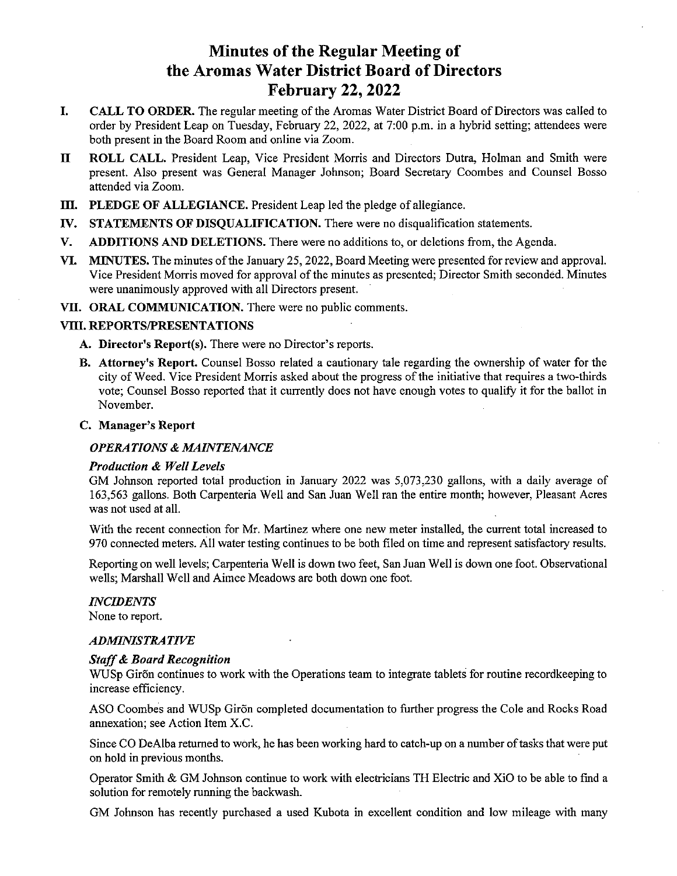# Minutes of the Regular Meeting of the Aromas Water District Board of Directors February 22, 2022

- CALL TO ORDER. The regular meeting of the Aromas Water District Board of Directors was called to I. order by President Leap on Tuesday, February 22, 2022, at 7:00 p.m. in a hybrid setting; attendees were both present in the Board Room and online via Zoom.
- II ROLL CALL. President Leap, Vice President Morris and Directors Dutra, Holman and Smith were present. Also present was General Manager Johnson; Board Secretary Coombes and Counsel Bosso attended via Zoom.
- III. PLEDGE OF ALLEGIANCE. President Leap led the pledge of allegiance.
- IV. STATEMENTS OF DISQUALIFICATION. There were no disqualification statements.
- V. ADDITIONS AND DELETIONS. There were no additions to, or deletions from, the Agenda.
- VI. MINUTES. The minutes of the January 25, 2022, Board Meeting were presented for review and approval. Vice President Morris moved for approval of the minutes as presented; Director Smith seconded. Minutes were unanimously approved with all Directors present.
- VII. ORAL COMMUNICATION. There were no public comments.

# Vifi. REPORTS/PRESENTATIONS

- A. Director's Report(s). There were no Director's reports.
- B. Attorney's Report. Counsel Bosso related <sup>a</sup> cautionary tale regarding the ownership of water for the city of Weed. Vice President Morris asked about the progress of the initiative that requires <sup>a</sup> two-thirds vote; Counsel Bosso reported that it currently does not have enough votes to qualify it for the ballot in November.

#### C. Manager's Report

#### OPERATIONS & MAINTENANCE

#### Production & Well Levels

GM Johnson reported total production in January 2022 was 5,073,230 gallons, with <sup>a</sup> daily average of 163,563 gallons. Both Carpenteria Well and San Juan Well ran the entire month; however, Pleasant Acres was not used at all.

With the recent connection for Mr. Martinez where one new meter installed, the current total increased to 970 connected meters. All water testing continues to be both filed on time and represent satisfactory results.

Reporting on well levels; Carpenteria Well is down two feet, San Juan Well is down one foot. Observational wells; Marshall Well and Aimee Meadows are both down one foot.

#### INCIDENTS

None to report.

#### ADMINISTRATIVE

#### Staff& Board Recognition

WUSp Giron continues to work with the Operations team to integrate tablets for routine recordkeeping to increase efficiency.

ASO Coombes and WUSp Giron completed documentation to further progress the Cole and Rocks Road annexation; see Action Item X.C.

Since CO DeAlba returned to work, he has been working hard to catch-up on a number of tasks that were put on hold in previous months.

Operator Smith & GM Johnson continue to work with electricians TH Electric and XiO to be able to fmd <sup>a</sup> solution for remotely running the backwash.

GM Johnson has recently purchased a used Kubota in excellent condition and low mileage with many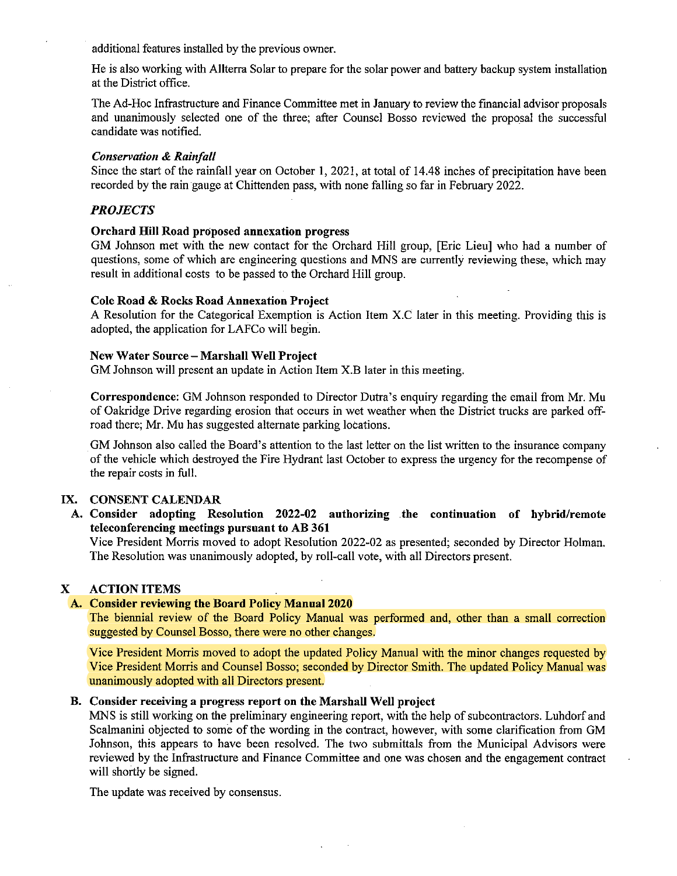additional features installed by the previous owner.

He is also working with Allterra Solar to prepare for the solar power and battery backup system installation at the District office.

The Ad-Hoc Infrastructure and Finance Committee met in January to review the fmancial advisor proposals and unanimously selected one of the three; after Counsel Bosso reviewed the proposal the successful candidate was notified.

#### Conservation & Rainfall

Since the start of the rainfall year on October 1, 2021, at total of 14.48 inches of precipitation have been recorded by the rain gauge at Chittenden pass, with none falling so far in February 2022.

# PROJECTS

# Orchard Hill Road proposed annexation progress

GM Johnson met with the new contact for the Orchard Hill group, [Eric Lieu] who had <sup>a</sup> number of questions, some of which are engineering questions and MNS are currently reviewing these, which may result in additional costs to be passed to the Orchard Hill group.

#### Cole Road & Rocks Road Annexation Project

A Resolution for the Categorical Exemption is Action Item X.C later in this meeting. Providing this is adopted, the application for LAFCo will begin.

#### New Water Source — Marshall Well Project

GM Johnson will present an update in Action Item X.B later in this meeting.

Correspondence: GM Johnson responded to Director Dutra's enquiry regarding the email from Mr. Mu of Oakridge Drive regarding erosion that occurs in wet weather when the District trucks are parked offroad there; Mr. Mu has suggested alternate parking locations.

GM Johnson also called the Board's attention to the last letter on the list written to the insurance company of the vehicle which destroyed the Fire Hydrant last October to express the urgency for the recompense of the repair costs in full.

# IX. CONSENT CALENDAR

A. Consider adopting Resolution 2022-02 authorizing the continuation of hybrid/remote teleconferencing meetings pursuant to AB 361

Vice President Morris moved to adopt Resolution 2022-02 as presented; seconded by Director Holman. The Resolution was unanimously adopted, by roll-call vote, with all Directors present.

# X ACTION ITEMS

# A. Consider reviewing the Board Policy Manual 2020

The biennial review of the Board Policy Manual was performed and, other than <sup>a</sup> small correction suggested by Counsel Bosso, there were no other changes.

Vice President Morris moved to adopt the updated Policy Manual with the minor changes requested by Vice President Morris and Counsel Bosso; seconded by Director Smith. The updated Policy Manual was unanimously adopted with all Directors present.

#### B. Consider receiving a progress report on the Marshall Well project

MNS is still working on the preliminary engineering report, with the help of subcontractors. Luhdorf and Scalmanini objected to some of the wording in the contract, however, with some clarification from GM Johnson, this appears to have been resolved. The two submittals from the Municipal Advisors were reviewed by the Infrastructure and Finance Committee and one was chosen and the engagement contract will shortly be signed.

The update was received by consensus.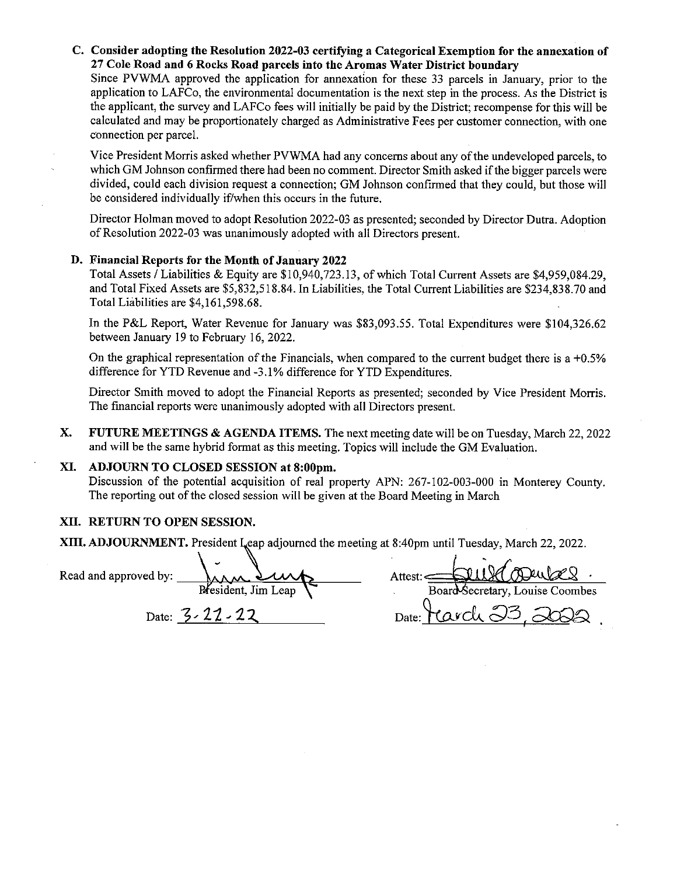# C. Consider adopting the Resolution 2022-03 certifying a Categorical Exemption for the annexation of 27 Cole Road and 6 Rocks Road parcels into the Aromas Water District boundary

Since PVWMA approved the application for annexation for these 33 parcels in January, prior to the application to LAFCo, the environmental documentation is the next step in the process. As the District is the applicant, the survey and LAFCo fees will initially be paid by the District; recompense for this will be calculated and may be proportionately charged as Administrative Fees per customer connection, with one connection per parcel.

Vice President Morris asked whether PVWMA had any concerns about any ofthe undeveloped parcels, to which GM Johnson confirmed there had been no comment. Director Smith asked if the bigger parcels were divided, could each division request <sup>a</sup> connection; GM Johnson confirmed that they could, but those will be considered individually if/when this occurs in the future.

Director Holman moved to adopt Resolution 2022-03 as presented; seconded by Director Dutra. Adoption of Resolution 2022-03 was unanimously adopted with all Directors present.

# D. Financial Reports for the Month of January 2022

Total Assets / Liabilities & Equity are \$10,940,723.13, of which Total Current Assets are \$4,959,084.29, and Total Fixed Assets are \$5,832,518.84. In Liabilities, the Total Current Liabilities are \$234,838.70 and Total Liabilities are \$4,161,598.68.

In the P&L Report, Water Revenue for January was \$83,093.55. Total Expenditures were \$104,326.62 between January 19 to February 16, 2022.

On the graphical representation of the Financials, when compared to the current budget there is a  $+0.5\%$ difference for YTD Revenue and -3.1% difference for YTD Expenditures.

Director Smith moved to adopt the Financial Reports as presented; seconded by Vice President Morris. The fmancial reports were unanimously adopted with all Directors present.

X. FUTURE MEETINGS & AGENDA ITEMS. The next meeting date will be on Tuesday, March 22, 2022 and will be the same hybrid format as this meeting. Topics will include the GM Evaluation.

#### XI. ADJOURN TO CLOSED SESSION at 8:00pm.

Discussion of the potential acquisition of real property APN: 267-102-003-000 in Monterey County. The reporting out of the closed session will be given at the Board Meeting in March

# XII. RETURN TO OPEN SESSION.

XIII. ADJOURNMENT. President Leap adjourned the meeting at 8:40pm until Tuesday, March 22, 2022.

| Read and approved by: | Jara Surts          | Attest: - Seul Corusel          |
|-----------------------|---------------------|---------------------------------|
|                       | President, Jim Leap | Board Secretary, Louise Coombes |
|                       |                     | Dota: Havely 23 2020            |

| DILVA ADUNES<br>Attest:         |  |  |
|---------------------------------|--|--|
| Board Secretary, Louise Coombes |  |  |
|                                 |  |  |

 $D$ ate:  $2.7$   $2.6$   $2.7$   $2.8$   $2.9$   $2.9$   $2.9$   $2.9$   $2.9$   $2.9$   $2.9$   $2.9$   $2.9$   $2.9$   $2.9$   $2.9$   $2.9$   $2.9$   $2.9$   $2.9$   $2.9$   $2.9$   $2.9$   $2.9$   $2.9$   $2.9$   $2.9$   $2.9$   $2.9$   $2.9$   $2.9$   $2.9$   $2.9$   $2.9$   $2.9$   $2.$